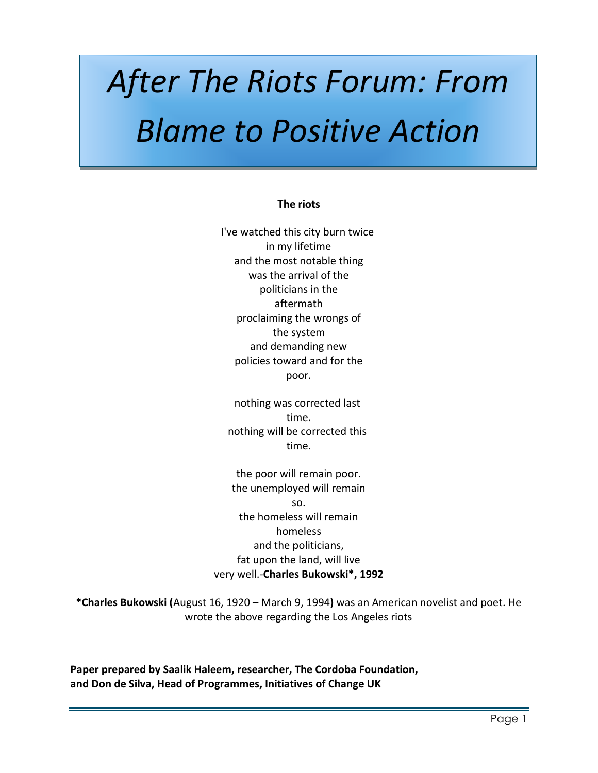# *After The Riots Forum: From Blame to Positive Action*

#### **The riots**

was the arrival of the<br>politicians in the proclaiming the wrongs of the system I've watched this city burn twice in my lifetime and the most notable thing politicians in the aftermath and demanding new policies toward and for the poor.

nothing was corrected last time. nothing will be corrected this time.

the poor will remain poor. the unemployed will remain so. the homeless will remain homeless and the politicians, fat upon the land, will live very well.-**Charles Bukowski\*, 1992**

**\*Charles Bukowski (**August 16, 1920 – March 9, 1994**)** was an American novelist and poet. He wrote the above regarding the Los Angeles riots

**Paper prepared by Saalik Haleem, researcher, The Cordoba Foundation, and Don de Silva, Head of Programmes, Initiatives of Change UK**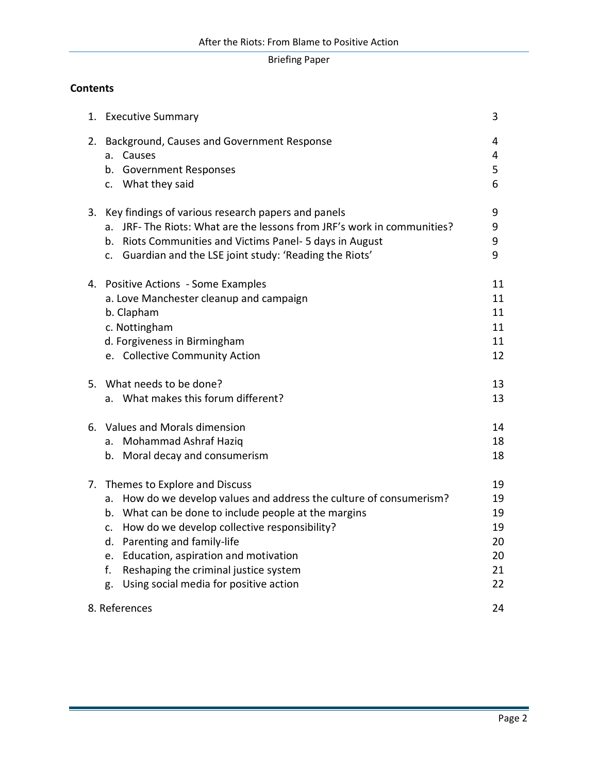# **Contents**

| 1. | <b>Executive Summary</b>                                                                                                                                                                                                                                                                                                                                                                     | 3                                            |
|----|----------------------------------------------------------------------------------------------------------------------------------------------------------------------------------------------------------------------------------------------------------------------------------------------------------------------------------------------------------------------------------------------|----------------------------------------------|
| 2. | Background, Causes and Government Response<br>a. Causes<br>b. Government Responses<br>c. What they said                                                                                                                                                                                                                                                                                      | 4<br>4<br>5<br>6                             |
| 3. | Key findings of various research papers and panels<br>a. JRF- The Riots: What are the lessons from JRF's work in communities?<br>Riots Communities and Victims Panel- 5 days in August<br>b.<br>c. Guardian and the LSE joint study: 'Reading the Riots'                                                                                                                                     | 9<br>9<br>9<br>9                             |
|    | 4. Positive Actions - Some Examples<br>a. Love Manchester cleanup and campaign<br>b. Clapham<br>c. Nottingham<br>d. Forgiveness in Birmingham<br>e. Collective Community Action                                                                                                                                                                                                              | 11<br>11<br>11<br>11<br>11<br>12             |
|    | 5. What needs to be done?<br>a. What makes this forum different?                                                                                                                                                                                                                                                                                                                             | 13<br>13                                     |
| 6. | Values and Morals dimension<br>a. Mohammad Ashraf Haziq<br>b. Moral decay and consumerism                                                                                                                                                                                                                                                                                                    | 14<br>18<br>18                               |
| 7. | Themes to Explore and Discuss<br>a. How do we develop values and address the culture of consumerism?<br>b. What can be done to include people at the margins<br>How do we develop collective responsibility?<br>C.<br>d. Parenting and family-life<br>e. Education, aspiration and motivation<br>f.<br>Reshaping the criminal justice system<br>Using social media for positive action<br>g. | 19<br>19<br>19<br>19<br>20<br>20<br>21<br>22 |
|    | 8. References                                                                                                                                                                                                                                                                                                                                                                                | 24                                           |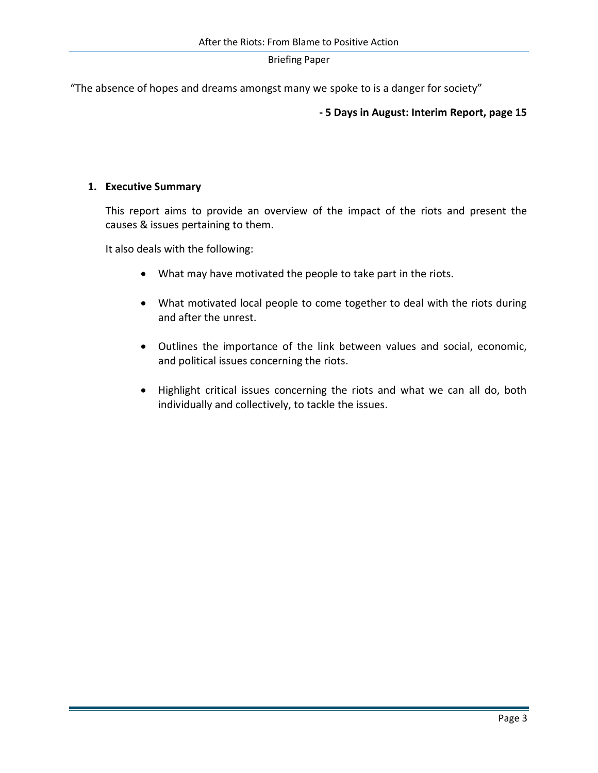"The absence of hopes and dreams amongst many we spoke to is a danger for society"

#### **- 5 Days in August: Interim Report, page 15**

#### **1. Executive Summary**

This report aims to provide an overview of the impact of the riots and present the causes & issues pertaining to them.

It also deals with the following:

- What may have motivated the people to take part in the riots.
- What motivated local people to come together to deal with the riots during and after the unrest.
- Outlines the importance of the link between values and social, economic, and political issues concerning the riots.
- Highlight critical issues concerning the riots and what we can all do, both individually and collectively, to tackle the issues.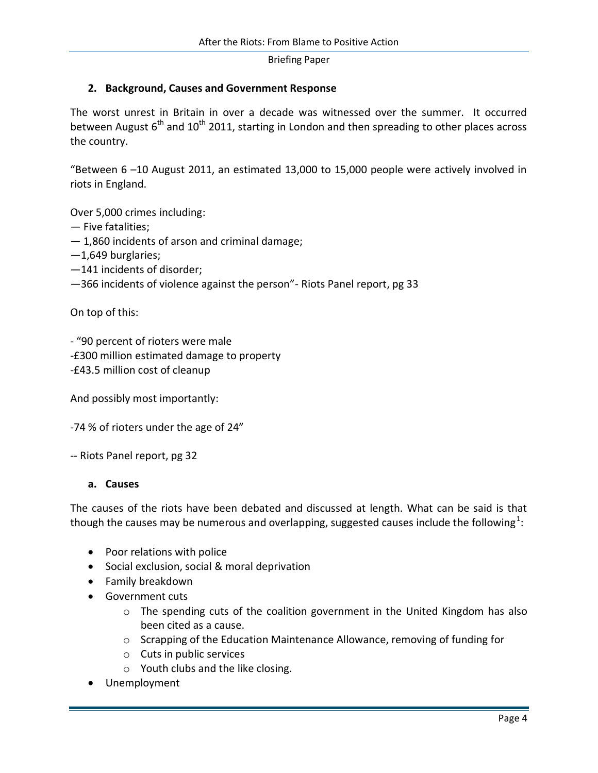## **2. Background, Causes and Government Response**

The worst unrest in Britain in over a decade was witnessed over the summer. It occurred between August  $6<sup>th</sup>$  and  $10<sup>th</sup>$  2011, starting in London and then spreading to other places across the country.

"Between 6 –10 August 2011, an estimated 13,000 to 15,000 people were actively involved in riots in England.

Over 5,000 crimes including:

- Five fatalities;
- 1,860 incidents of arson and criminal damage;
- —1,649 burglaries;
- —141 incidents of disorder;
- —366 incidents of violence against the person"- Riots Panel report, pg 33

On top of this:

- "90 percent of rioters were male

-£300 million estimated damage to property

-£43.5 million cost of cleanup

And possibly most importantly:

-74 % of rioters under the age of 24"

-- Riots Panel report, pg 32

#### **a. Causes**

The causes of the riots have been debated and discussed at length. What can be said is that though the causes may be numerous and overlapping, suggested causes include the following $^1$ :

- Poor relations with police
- Social exclusion, social & moral deprivation
- Family breakdown
- Government cuts
	- o The spending cuts of the [coalition government in the United Kingdom](http://en.wikipedia.org/wiki/United_Kingdom_coalition_government_(2010%E2%80%93present)) has also been cited as a cause.
	- $\circ$  Scrapping of the [Education Maintenance Allowance,](http://en.wikipedia.org/wiki/Education_Maintenance_Allowance) removing of funding for
	- o Cuts in public services
	- o Youth clubs and the like closing.
- Unemployment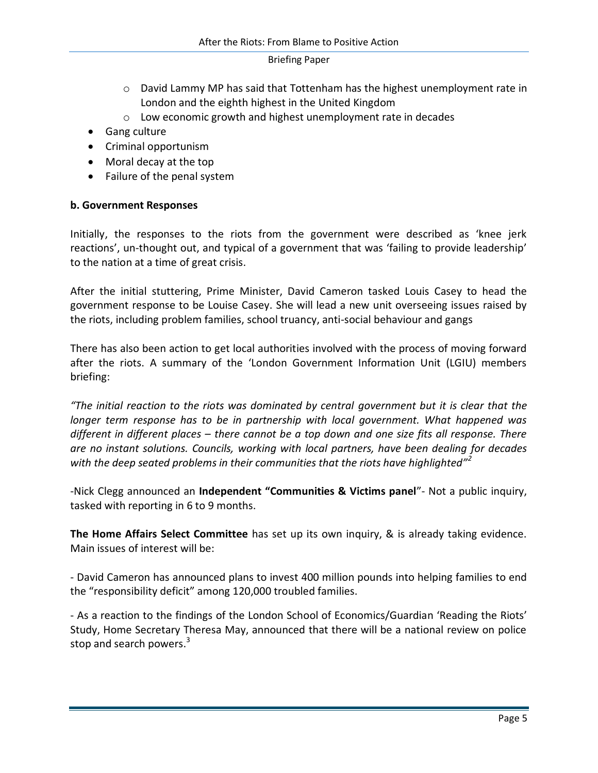- $\circ$  [David Lammy](http://en.wikipedia.org/wiki/David_Lammy) MP has said that Tottenham has the highest unemployment rate in London and the eighth highest in the United Kingdom
- o Low economic growth and highest unemployment rate in decades
- Gang culture
- Criminal opportunism
- Moral decay at the top
- Failure of the penal system

## **b. Government Responses**

Initially, the responses to the riots from the government were described as 'knee jerk reactions', un-thought out, and typical of a government that was 'failing to provide leadership' to the nation at a time of great crisis.

After the initial stuttering, Prime Minister, David Cameron tasked Louis Casey to head the government response to be Louise Casey. She will lead a new unit overseeing issues raised by the riots, including problem families, school truancy, anti-social behaviour and gangs

There has also been action to get local authorities involved with the process of moving forward after the riots. A summary of the 'London Government Information Unit (LGIU) members briefing:

*"The initial reaction to the riots was dominated by central government but it is clear that the longer term response has to be in partnership with local government. What happened was different in different places – there cannot be a top down and one size fits all response. There are no instant solutions. Councils, working with local partners, have been dealing for decades with the deep seated problems in their communities that the riots have highlighted"<sup>2</sup>*

-Nick Clegg announced an **Independent "Communities & Victims panel**"- Not a public inquiry, tasked with reporting in 6 to 9 months.

**The Home Affairs Select Committee** has set up its own inquiry, & is already taking evidence. Main issues of interest will be:

- David Cameron has announced plans to invest 400 million pounds into helping families to end the "responsibility deficit" among 120,000 troubled families.

- As a reaction to the findings of the London School of Economics/Guardian 'Reading the Riots' Study, Home Secretary Theresa May, announced that there will be a national review on police stop and search powers.<sup>3</sup>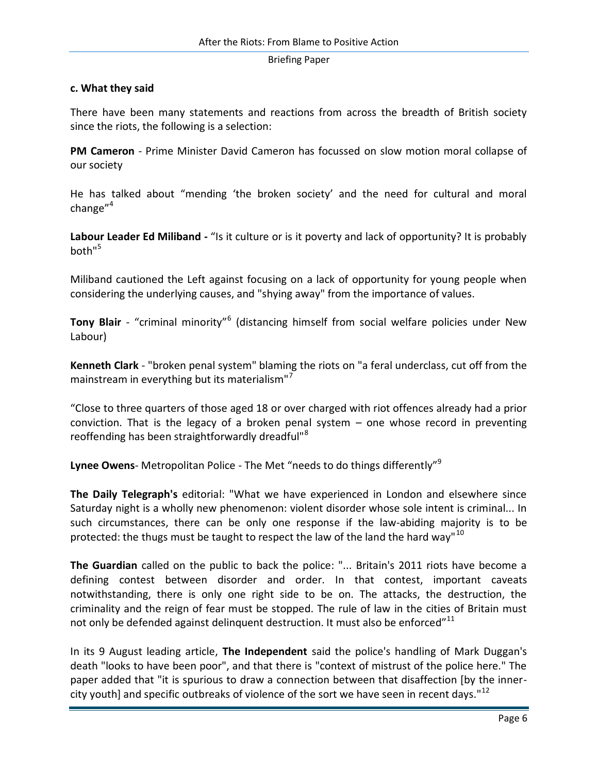## **c. What they said**

There have been many statements and reactions from across the breadth of British society since the riots, the following is a selection:

**PM Cameron** - Prime Minister David Cameron has focussed on slow motion moral collapse of our society

He has talked about "mending 'the broken society' and the need for cultural and moral change $^{\prime\prime}$ <sup>4</sup>

**Labour Leader Ed Miliband -** "Is it culture or is it poverty and lack of opportunity? It is probably both"<sup>5</sup>

Miliband cautioned the Left against focusing on a lack of opportunity for young people when considering the underlying causes, and "shying away" from the importance of values.

**Tony Blair** - "criminal minority"<sup>6</sup> (distancing himself from social welfare policies under New Labour)

**Kenneth Clark** - "broken penal system" blaming the riots on "a feral underclass, cut off from the mainstream in everything but its materialism"<sup>7</sup>

"Close to three quarters of those aged 18 or over charged with riot offences already had a prior conviction. That is the legacy of a broken penal system – one whose record in preventing reoffending has been straightforwardly dreadful"<sup>8</sup>

**Lynee Owens**- Metropolitan Police - The Met "needs to do things differently"<sup>9</sup>

**The Daily Telegraph's** editorial: "What we have experienced in London and elsewhere since Saturday night is a wholly new phenomenon: violent disorder whose sole intent is criminal... In such circumstances, there can be only one response if the law-abiding majority is to be protected: the thugs must be taught to respect the law of the land the hard way"<sup>10</sup>

**The Guardian** called on the public to back the police: "... Britain's 2011 riots have become a defining contest between disorder and order. In that contest, important caveats notwithstanding, there is only one right side to be on. The attacks, the destruction, the criminality and the reign of fear must be stopped. The rule of law in the cities of Britain must not only be defended against delinquent destruction. It must also be enforced"<sup>11</sup>

In its 9 August leading article, **The Independent** said the police's handling of Mark Duggan's death "looks to have been poor", and that there is "context of mistrust of the police here." The paper added that "it is spurious to draw a connection between that disaffection [by the innercity youth] and specific outbreaks of violence of the sort we have seen in recent days."<sup>12</sup>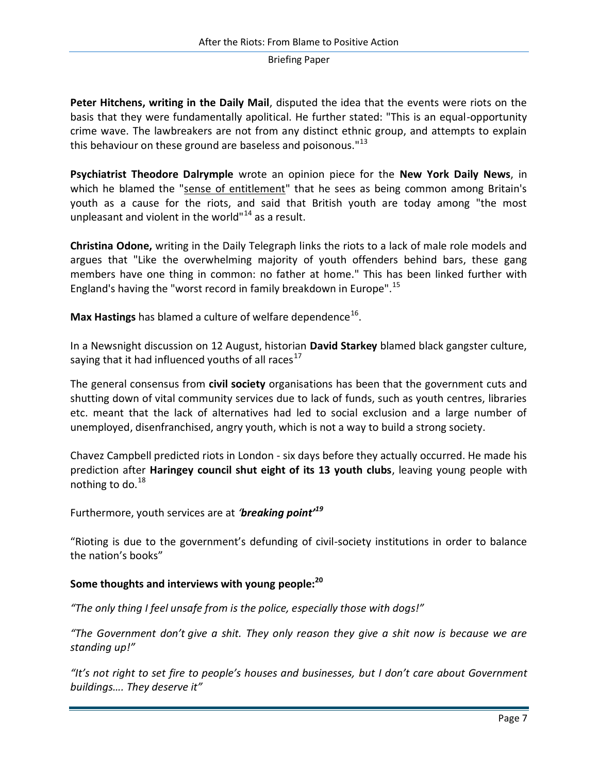**Peter Hitchens, writing in the Daily Mail**, disputed the idea that the events were riots on the basis that they were fundamentally apolitical. He further stated: "This is an equal-opportunity crime wave. The lawbreakers are not from any distinct ethnic group, and attempts to explain this behaviour on these ground are baseless and poisonous."<sup>13</sup>

**Psychiatrist Theodore Dalrymple** wrote an opinion piece for the **New York Daily News**, in which he blamed the "sense of entitlement" that he sees as being common among Britain's youth as a cause for the riots, and said that British youth are today among "the most unpleasant and violent in the world" $14$  as a result.

**Christina Odone,** writing in the [Daily Telegraph](http://en.wikipedia.org/wiki/Daily_Telegraph) links the riots to a lack of male role models and argues that "Like the overwhelming majority of youth offenders behind bars, these gang members have one thing in common: no father at home." This has been linked further with England's having the "worst record in family breakdown in Europe".<sup>15</sup>

**[Max Hastings](http://en.wikipedia.org/wiki/Max_Hastings)** has blamed a culture of welfare dependence<sup>16</sup>.

In a [Newsnight](http://en.wikipedia.org/wiki/Newsnight) discussion on 12 August, historian **[David Starkey](http://en.wikipedia.org/wiki/David_Starkey)** blamed black gangster culture, saying that it had influenced youths of all races<sup>17</sup>

The general consensus from **civil society** organisations has been that the government cuts and shutting down of vital community services due to lack of funds, such as youth centres, libraries etc. meant that the lack of alternatives had led to social exclusion and a large number of unemployed, disenfranchised, angry youth, which is not a way to build a strong society.

Chavez Campbell predicted riots in London - six days before they actually occurred. He made his prediction after **Haringey council shut eight of its 13 youth clubs**, leaving young people with nothing to do. $^{18}$ 

Furthermore, youth services are at *'breaking point'<sup>19</sup>*

"Rioting is due to the government's defunding of civil-society institutions in order to balance the nation's books"

# **Some thoughts and interviews with young people:<sup>20</sup>**

*"The only thing I feel unsafe from is the police, especially those with dogs!"*

*"The Government don't give a shit. They only reason they give a shit now is because we are standing up!"*

*"It's not right to set fire to people's houses and businesses, but I don't care about Government buildings…. They deserve it"*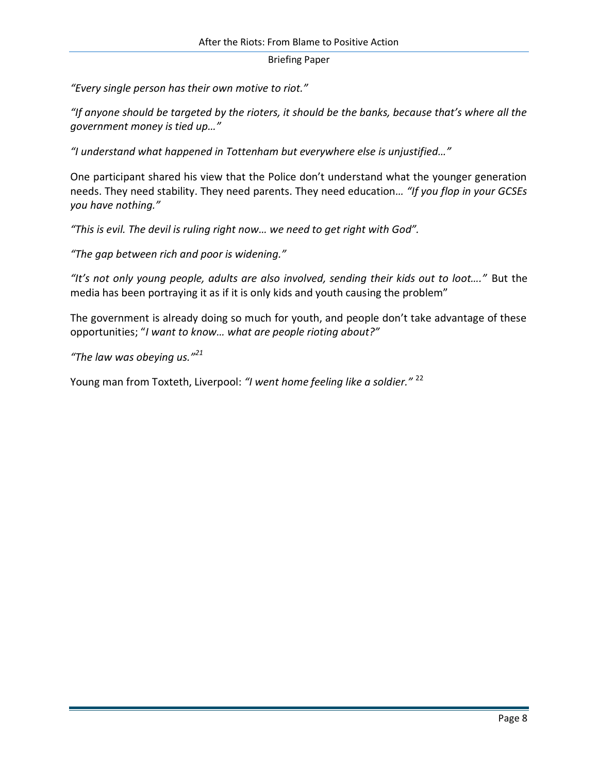*"Every single person has their own motive to riot."*

*"If anyone should be targeted by the rioters, it should be the banks, because that's where all the government money is tied up…"*

*"I understand what happened in Tottenham but everywhere else is unjustified…"*

One participant shared his view that the Police don't understand what the younger generation needs. They need stability. They need parents. They need education*… "If you flop in your GCSEs you have nothing."*

*"This is evil. The devil is ruling right now… we need to get right with God".*

*"The gap between rich and poor is widening."*

*"It's not only young people, adults are also involved, sending their kids out to loot…."* But the media has been portraying it as if it is only kids and youth causing the problem"

The government is already doing so much for youth, and people don't take advantage of these opportunities; "*I want to know… what are people rioting about?"*

*"The law was obeying us."<sup>21</sup>*

Young man from Toxteth, Liverpool: *"I went home feeling like a soldier."* <sup>22</sup>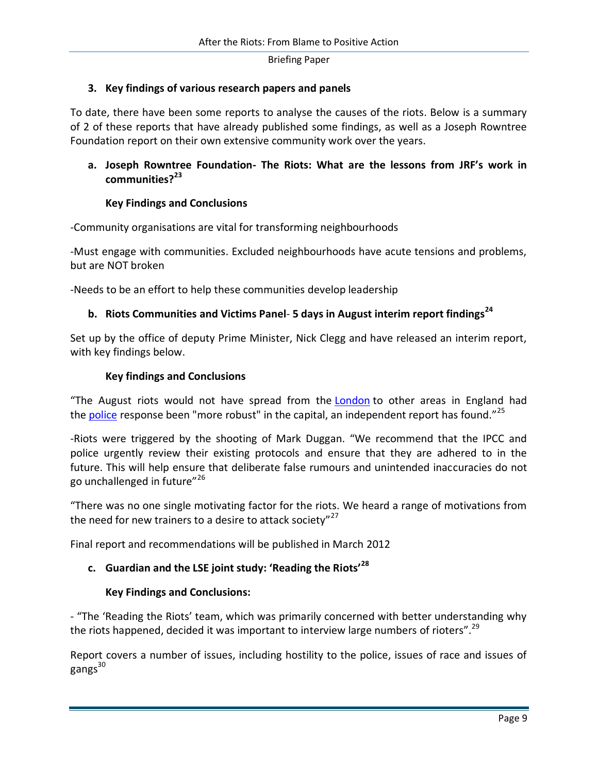## **3. Key findings of various research papers and panels**

To date, there have been some reports to analyse the causes of the riots. Below is a summary of 2 of these reports that have already published some findings, as well as a Joseph Rowntree Foundation report on their own extensive community work over the years.

# **a. Joseph Rowntree Foundation- The Riots: What are the lessons from JRF's work in communities?<sup>23</sup>**

## **Key Findings and Conclusions**

-Community organisations are vital for transforming neighbourhoods

-Must engage with communities. Excluded neighbourhoods have acute tensions and problems, but are NOT broken

-Needs to be an effort to help these communities develop leadership

## **b. Riots Communities and Victims Panel**- **5 days in August interim report findings<sup>24</sup>**

Set up by the office of deputy Prime Minister, Nick Clegg and have released an interim report, with key findings below.

## **Key findings and Conclusions**

"The August riots would not have spread from the [London](http://www.guardian.co.uk/uk/london) to other areas in England had the [police](http://www.guardian.co.uk/uk/police) response been "more robust" in the capital, an independent report has found."<sup>25</sup>

-Riots were triggered by the shooting of Mark Duggan. "We recommend that the IPCC and police urgently review their existing protocols and ensure that they are adhered to in the future. This will help ensure that deliberate false rumours and unintended inaccuracies do not go unchallenged in future"<sup>26</sup>

"There was no one single motivating factor for the riots. We heard a range of motivations from the need for new trainers to a desire to attack society"<sup>27</sup>

Final report and recommendations will be published in March 2012

# **c. Guardian and the LSE joint study: 'Reading the Riots'<sup>28</sup>**

#### **Key Findings and Conclusions:**

- "The 'Reading the Riots' team, which was primarily concerned with better understanding why the riots happened, decided it was important to interview large numbers of rioters".<sup>29</sup>

Report covers a number of issues, including hostility to the police, issues of race and issues of  $g$ angs $^{30}$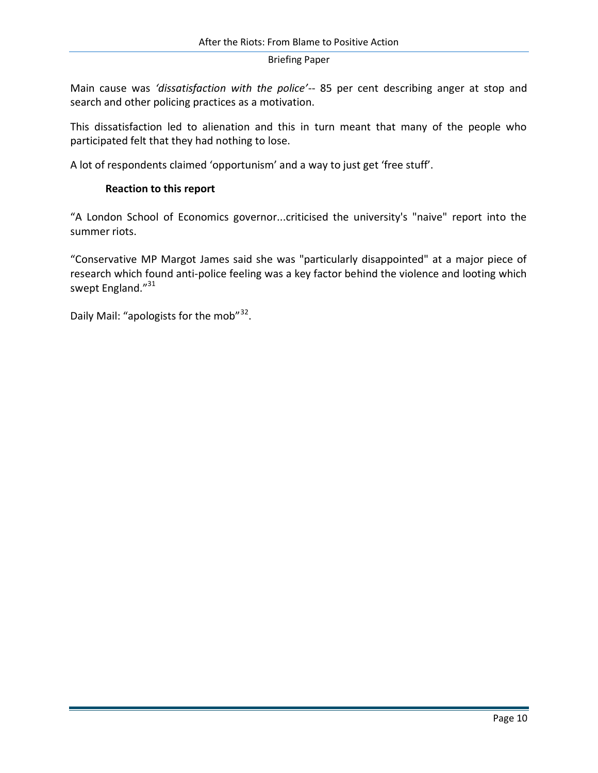Main cause was *'dissatisfaction with the police'*-- 85 per cent describing anger at stop and search and other policing practices as a motivation.

This dissatisfaction led to alienation and this in turn meant that many of the people who participated felt that they had nothing to lose.

A lot of respondents claimed 'opportunism' and a way to just get 'free stuff'.

## **Reaction to this report**

"A London School of Economics governor...criticised the university's "naive" report into the summer riots.

"Conservative MP Margot James said she was "particularly disappointed" at a major piece of research which found anti-police feeling was a key factor behind the violence and looting which swept England."<sup>31</sup>

Daily Mail: "apologists for the mob"<sup>32</sup>.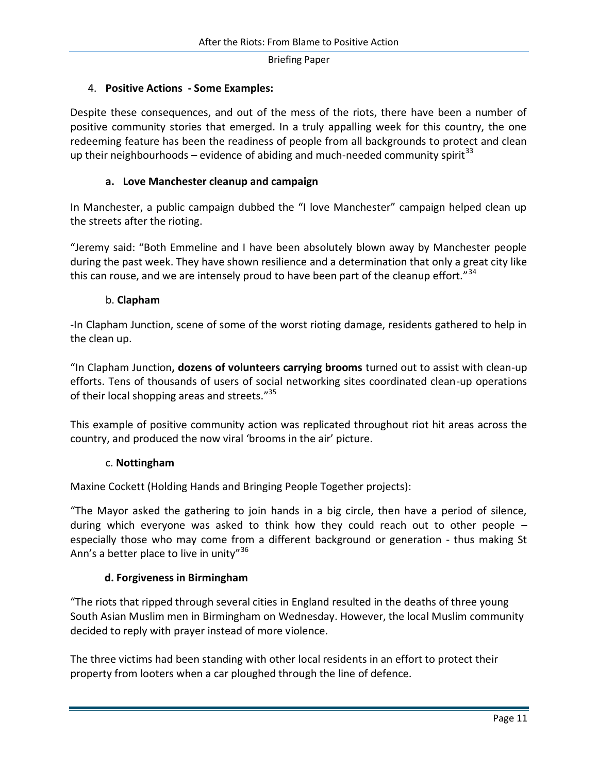## 4. **Positive Actions - Some Examples:**

Despite these consequences, and out of the mess of the riots, there have been a number of positive community stories that emerged. In a truly appalling week for this country, the one redeeming feature has been the readiness of people from all backgrounds to protect and clean up their neighbourhoods – evidence of abiding and much-needed community spirit<sup>33</sup>

## **a. Love Manchester cleanup and campaign**

In Manchester, a public campaign dubbed the "I love Manchester" campaign helped clean up the streets after the rioting.

"Jeremy said: "Both Emmeline and I have been absolutely blown away by Manchester people during the past week. They have shown resilience and a determination that only a great city like this can rouse, and we are intensely proud to have been part of the cleanup effort."<sup>34</sup>

## b. **Clapham**

-In Clapham Junction, scene of some of the worst rioting damage, residents gathered to help in the clean up.

"In [Clapham Junction](http://en.wikipedia.org/wiki/Clapham_Junction)**, dozens of volunteers carrying brooms** turned out to assist with clean-up efforts. Tens of thousands of users of social networking sites coordinated clean-up operations of their local shopping areas and streets."<sup>35</sup>

This example of positive community action was replicated throughout riot hit areas across the country, and produced the now viral 'brooms in the air' picture.

#### c. **Nottingham**

Maxine Cockett (Holding Hands and Bringing People Together projects):

"The Mayor asked the gathering to join hands in a big circle, then have a period of silence, during which everyone was asked to think how they could reach out to other people – especially those who may come from a different background or generation - thus making St Ann's a better place to live in unity"<sup>36</sup>

## **d. Forgiveness in Birmingham**

"The riots that ripped through several cities in England resulted in the deaths of three young South Asian Muslim men in Birmingham on Wednesday. However, the local Muslim community decided to reply with prayer instead of more violence.

The three victims had been standing with other local residents in an effort to protect their property from looters when a car ploughed through the line of defence.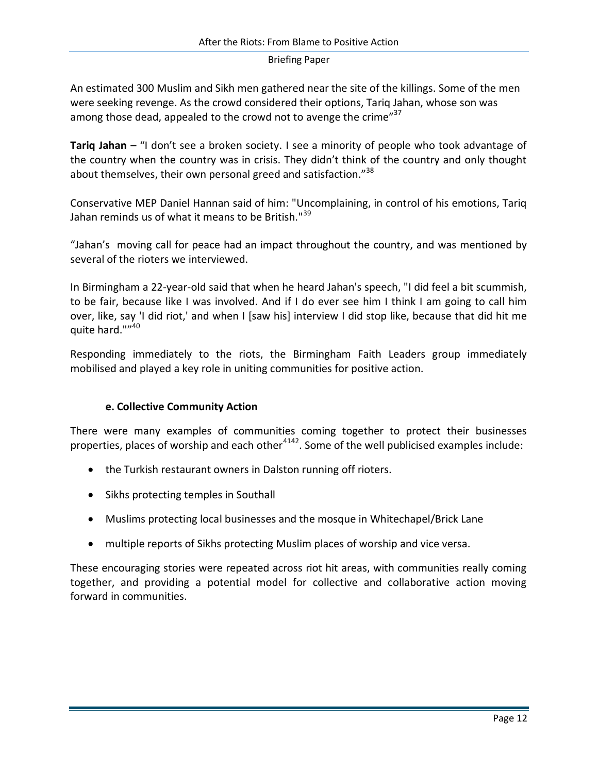An estimated 300 Muslim and Sikh men gathered near the site of the killings. Some of the men were seeking revenge. As the crowd considered their options, Tariq Jahan, whose son was among those dead, appealed to the crowd not to avenge the crime"<sup>37</sup>

**Tariq Jahan** – "I don't see a broken society. I see a minority of people who took advantage of the country when the country was in crisis. They didn't think of the country and only thought about themselves, their own personal greed and satisfaction."<sup>38</sup>

Conservative MEP [Daniel Hannan](http://en.wikipedia.org/wiki/Daniel_Hannan) said of him: "Uncomplaining, in control of his emotions, Tariq Jahan reminds us of what it means to be British."<sup>39</sup>

"Jahan's moving call for peace had an impact throughout the country, and was mentioned by several of the rioters we interviewed.

In Birmingham a 22-year-old said that when he heard Jahan's speech, "I did feel a bit scummish, to be fair, because like I was involved. And if I do ever see him I think I am going to call him over, like, say 'I did riot,' and when I [saw his] interview I did stop like, because that did hit me quite hard.""40

Responding immediately to the riots, the Birmingham Faith Leaders group immediately mobilised and played a key role in uniting communities for positive action.

## **e. Collective Community Action**

There were many examples of communities coming together to protect their businesses properties, places of worship and each other<sup>4142</sup>. Some of the well publicised examples include:

- the Turkish restaurant owners in Dalston running off rioters.
- Sikhs protecting temples in Southall
- Muslims protecting local businesses and the mosque in Whitechapel/Brick Lane
- multiple reports of Sikhs protecting Muslim places of worship and vice versa.

These encouraging stories were repeated across riot hit areas, with communities really coming together, and providing a potential model for collective and collaborative action moving forward in communities.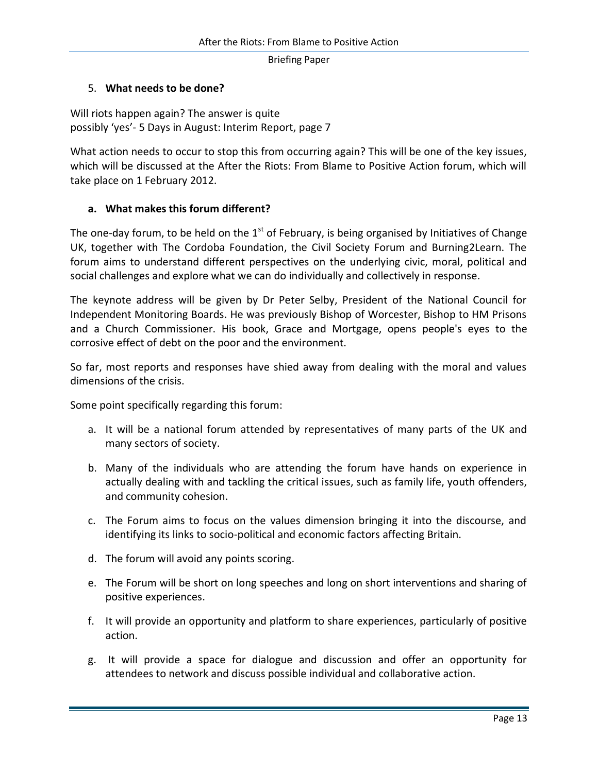# 5. **What needs to be done?**

Will riots happen again? The answer is quite possibly 'yes'- 5 Days in August: Interim Report, page 7

What action needs to occur to stop this from occurring again? This will be one of the key issues, which will be discussed at the After the Riots: From Blame to Positive Action forum, which will take place on 1 February 2012.

# **a. What makes this forum different?**

The one-day forum, to be held on the  $1<sup>st</sup>$  of February, is being organised by Initiatives of Change UK, together with The Cordoba Foundation, the Civil Society Forum and Burning2Learn. The forum aims to understand different perspectives on the underlying civic, moral, political and social challenges and explore what we can do individually and collectively in response.

The keynote address will be given by Dr Peter Selby, President of the National Council for Independent Monitoring Boards. He was previously Bishop of Worcester, Bishop to HM Prisons and a Church Commissioner. His book, Grace and Mortgage, opens people's eyes to the corrosive effect of debt on the poor and the environment.

So far, most reports and responses have shied away from dealing with the moral and values dimensions of the crisis.

Some point specifically regarding this forum:

- a. It will be a national forum attended by representatives of many parts of the UK and many sectors of society.
- b. Many of the individuals who are attending the forum have hands on experience in actually dealing with and tackling the critical issues, such as family life, youth offenders, and community cohesion.
- c. The Forum aims to focus on the values dimension bringing it into the discourse, and identifying its links to socio-political and economic factors affecting Britain.
- d. The forum will avoid any points scoring.
- e. The Forum will be short on long speeches and long on short interventions and sharing of positive experiences.
- f. It will provide an opportunity and platform to share experiences, particularly of positive action.
- g. It will provide a space for dialogue and discussion and offer an opportunity for attendees to network and discuss possible individual and collaborative action.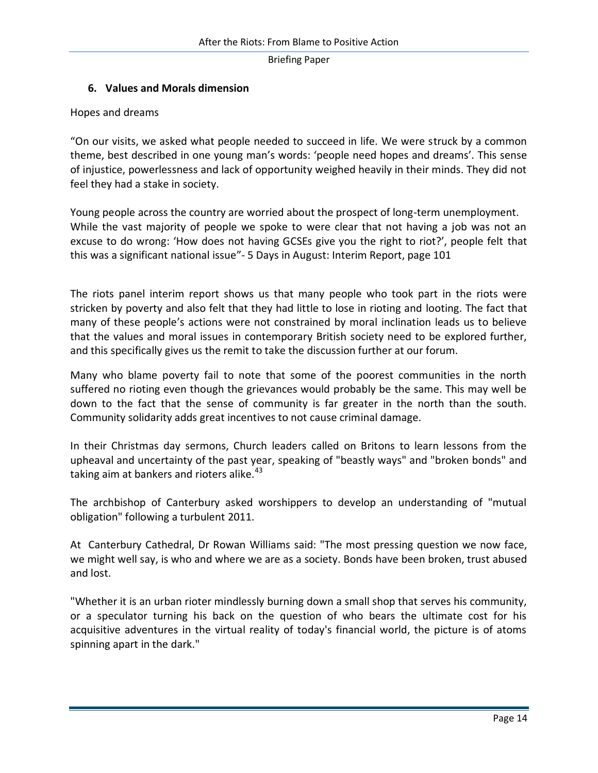# **6. Values and Morals dimension**

Hopes and dreams

"On our visits, we asked what people needed to succeed in life. We were struck by a common theme, best described in one young man's words: 'people need hopes and dreams'. This sense of injustice, powerlessness and lack of opportunity weighed heavily in their minds. They did not feel they had a stake in society.

Young people across the country are worried about the prospect of long-term unemployment. While the vast majority of people we spoke to were clear that not having a job was not an excuse to do wrong: 'How does not having GCSEs give you the right to riot?', people felt that this was a significant national issue"- 5 Days in August: Interim Report, page 101

The riots panel interim report shows us that many people who took part in the riots were stricken by poverty and also felt that they had little to lose in rioting and looting. The fact that many of these people's actions were not constrained by moral inclination leads us to believe that the values and moral issues in contemporary British society need to be explored further, and this specifically gives us the remit to take the discussion further at our forum.

Many who blame poverty fail to note that some of the poorest communities in the north suffered no rioting even though the grievances would probably be the same. This may well be down to the fact that the sense of community is far greater in the north than the south. Community solidarity adds great incentives to not cause criminal damage.

In their Christmas day sermons, Church leaders called on Britons to learn lessons from the upheaval and uncertainty of the past year, speaking of "beastly ways" and "broken bonds" and taking aim at bankers and rioters alike. $43$ 

The archbishop of Canterbury asked worshippers to develop an understanding of "mutual obligation" following a turbulent 2011.

At Canterbury Cathedral, Dr Rowan Williams said: "The most pressing question we now face, we might well say, is who and where we are as a society. Bonds have been broken, trust abused and lost.

"Whether it is an urban rioter mindlessly burning down a small shop that serves his community, or a speculator turning his back on the question of who bears the ultimate cost for his acquisitive adventures in the virtual reality of today's financial world, the picture is of atoms spinning apart in the dark."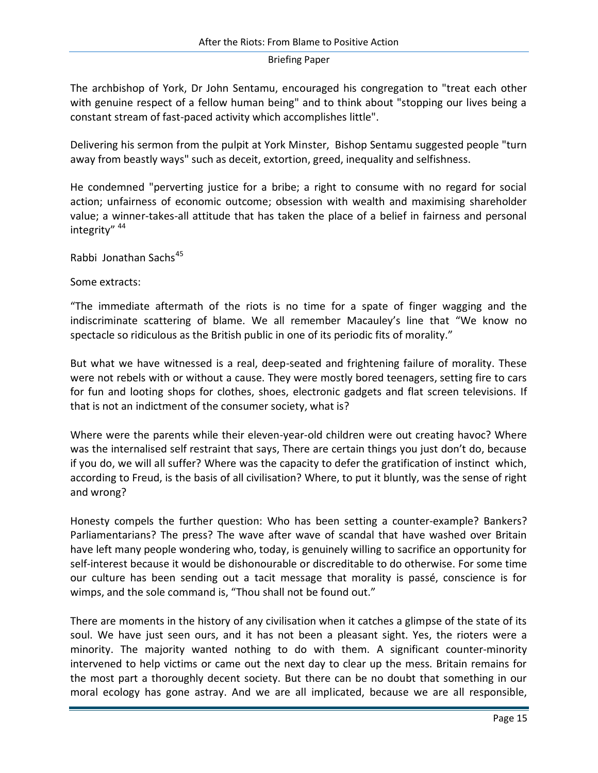The archbishop of York, Dr John Sentamu, encouraged his congregation to "treat each other with genuine respect of a fellow human being" and to think about "stopping our lives being a constant stream of fast-paced activity which accomplishes little".

Delivering his sermon from the pulpit at York Minster, Bishop Sentamu suggested people "turn away from beastly ways" such as deceit, extortion, greed, inequality and selfishness.

He condemned "perverting justice for a bribe; a right to consume with no regard for social action; unfairness of economic outcome; obsession with wealth and maximising shareholder value; a winner-takes-all attitude that has taken the place of a belief in fairness and personal integrity" <sup>44</sup>

Rabbi Jonathan Sachs<sup>45</sup>

Some extracts:

"The immediate aftermath of the riots is no time for a spate of finger wagging and the indiscriminate scattering of blame. We all remember Macauley's line that "We know no spectacle so ridiculous as the British public in one of its periodic fits of morality."

But what we have witnessed is a real, deep-seated and frightening failure of morality. These were not rebels with or without a cause. They were mostly bored teenagers, setting fire to cars for fun and looting shops for clothes, shoes, electronic gadgets and flat screen televisions. If that is not an indictment of the consumer society, what is?

Where were the parents while their eleven-year-old children were out creating havoc? Where was the internalised self restraint that says, There are certain things you just don't do, because if you do, we will all suffer? Where was the capacity to defer the gratification of instinct which, according to Freud, is the basis of all civilisation? Where, to put it bluntly, was the sense of right and wrong?

Honesty compels the further question: Who has been setting a counter-example? Bankers? Parliamentarians? The press? The wave after wave of scandal that have washed over Britain have left many people wondering who, today, is genuinely willing to sacrifice an opportunity for self-interest because it would be dishonourable or discreditable to do otherwise. For some time our culture has been sending out a tacit message that morality is passé, conscience is for wimps, and the sole command is, "Thou shall not be found out."

There are moments in the history of any civilisation when it catches a glimpse of the state of its soul. We have just seen ours, and it has not been a pleasant sight. Yes, the rioters were a minority. The majority wanted nothing to do with them. A significant counter-minority intervened to help victims or came out the next day to clear up the mess. Britain remains for the most part a thoroughly decent society. But there can be no doubt that something in our moral ecology has gone astray. And we are all implicated, because we are all responsible,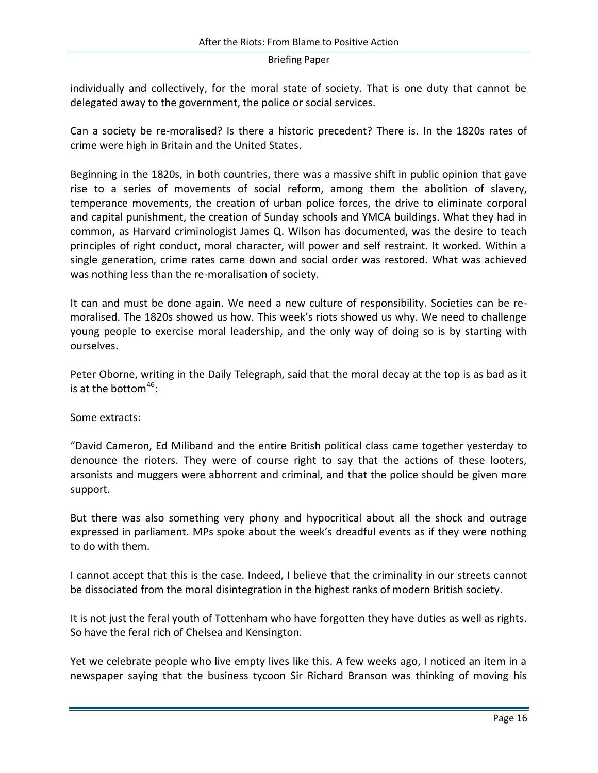individually and collectively, for the moral state of society. That is one duty that cannot be delegated away to the government, the police or social services.

Can a society be re-moralised? Is there a historic precedent? There is. In the 1820s rates of crime were high in Britain and the United States.

Beginning in the 1820s, in both countries, there was a massive shift in public opinion that gave rise to a series of movements of social reform, among them the abolition of slavery, temperance movements, the creation of urban police forces, the drive to eliminate corporal and capital punishment, the creation of Sunday schools and YMCA buildings. What they had in common, as Harvard criminologist James Q. Wilson has documented, was the desire to teach principles of right conduct, moral character, will power and self restraint. It worked. Within a single generation, crime rates came down and social order was restored. What was achieved was nothing less than the re-moralisation of society.

It can and must be done again. We need a new culture of responsibility. Societies can be remoralised. The 1820s showed us how. This week's riots showed us why. We need to challenge young people to exercise moral leadership, and the only way of doing so is by starting with ourselves.

Peter Oborne, writing in the Daily Telegraph, said that the moral decay at the top is as bad as it is at the bottom<sup>46</sup>:

Some extracts:

"David Cameron, Ed Miliband and the entire British political class came together yesterday to denounce the rioters. They were of course right to say that the actions of these looters, arsonists and muggers were abhorrent and criminal, and that the police should be given more support.

But there was also something very phony and hypocritical about all the shock and outrage expressed in parliament. MPs spoke about the week's dreadful events as if they were nothing to do with them.

I cannot accept that this is the case. Indeed, I believe that the criminality in our streets cannot be dissociated from the moral disintegration in the highest ranks of modern British society.

It is not just the feral youth of Tottenham who have forgotten they have duties as well as rights. So have the feral rich of Chelsea and Kensington.

Yet we celebrate people who live empty lives like this. A few weeks ago, I noticed an item in a newspaper saying that the business tycoon Sir Richard Branson was thinking of moving his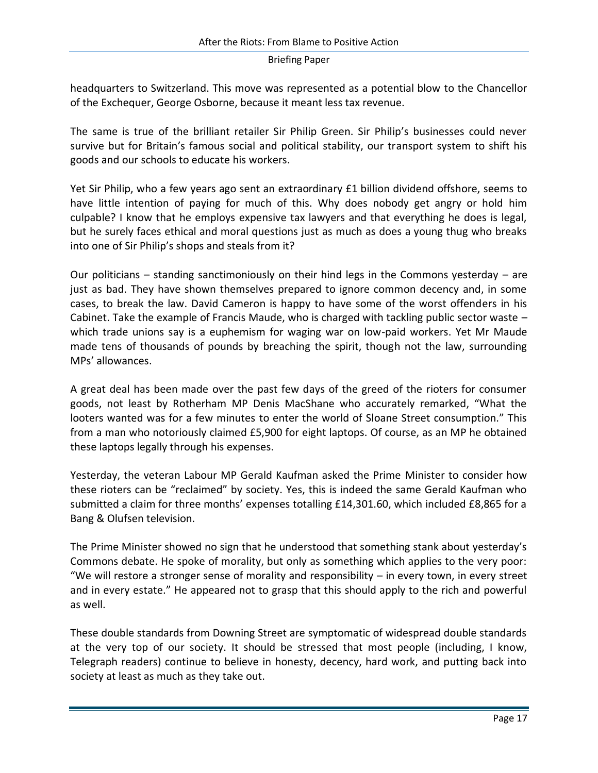headquarters to Switzerland. This move was represented as a potential blow to the Chancellor of the Exchequer, George Osborne, because it meant less tax revenue.

The same is true of the brilliant retailer Sir Philip Green. Sir Philip's businesses could never survive but for Britain's famous social and political stability, our transport system to shift his goods and our schools to educate his workers.

Yet Sir Philip, who a few years ago sent an extraordinary £1 billion dividend offshore, seems to have little intention of paying for much of this. Why does nobody get angry or hold him culpable? I know that he employs expensive tax lawyers and that everything he does is legal, but he surely faces ethical and moral questions just as much as does a young thug who breaks into one of Sir Philip's shops and steals from it?

Our politicians – standing sanctimoniously on their hind legs in the Commons yesterday – are just as bad. They have shown themselves prepared to ignore common decency and, in some cases, to break the law. David Cameron is happy to have some of the worst offenders in his Cabinet. Take the example of Francis Maude, who is charged with tackling public sector waste – which trade unions say is a euphemism for waging war on low-paid workers. Yet Mr Maude made tens of thousands of pounds by breaching the spirit, though not the law, surrounding MPs' allowances.

A great deal has been made over the past few days of the greed of the rioters for consumer goods, not least by Rotherham MP Denis MacShane who accurately remarked, "What the looters wanted was for a few minutes to enter the world of Sloane Street consumption." This from a man who notoriously claimed £5,900 for eight laptops. Of course, as an MP he obtained these laptops legally through his expenses.

Yesterday, the veteran Labour MP Gerald Kaufman asked the Prime Minister to consider how these rioters can be "reclaimed" by society. Yes, this is indeed the same Gerald Kaufman who submitted a claim for three months' expenses totalling £14,301.60, which included £8,865 for a Bang & Olufsen television.

The Prime Minister showed no sign that he understood that something stank about yesterday's Commons debate. He spoke of morality, but only as something which applies to the very poor: "We will restore a stronger sense of morality and responsibility  $-$  in every town, in every street and in every estate." He appeared not to grasp that this should apply to the rich and powerful as well.

These double standards from Downing Street are symptomatic of widespread double standards at the very top of our society. It should be stressed that most people (including, I know, Telegraph readers) continue to believe in honesty, decency, hard work, and putting back into society at least as much as they take out.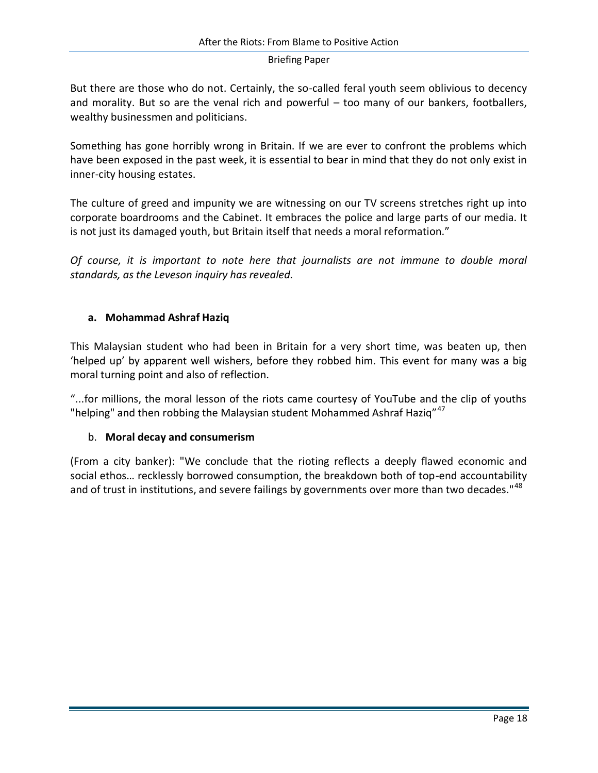But there are those who do not. Certainly, the so-called feral youth seem oblivious to decency and morality. But so are the venal rich and powerful – too many of our bankers, footballers, wealthy businessmen and politicians.

Something has gone horribly wrong in Britain. If we are ever to confront the problems which have been exposed in the past week, it is essential to bear in mind that they do not only exist in inner-city housing estates.

The culture of greed and impunity we are witnessing on our TV screens stretches right up into corporate boardrooms and the Cabinet. It embraces the police and large parts of our media. It is not just its damaged youth, but Britain itself that needs a moral reformation."

*Of course, it is important to note here that journalists are not immune to double moral standards, as the Leveson inquiry has revealed.* 

# **a. Mohammad Ashraf Haziq**

This Malaysian student who had been in Britain for a very short time, was beaten up, then 'helped up' by apparent well wishers, before they robbed him. This event for many was a big moral turning point and also of reflection.

"...for millions, the moral lesson of the riots came courtesy of YouTube and the clip of youths "helping" and then robbing the Malaysian student Mohammed Ashraf Haziq"<sup>47</sup>

## b. **Moral decay and consumerism**

(From a city banker): "We conclude that the rioting reflects a deeply flawed economic and social ethos… recklessly borrowed consumption, the breakdown both of top-end accountability and of trust in institutions, and severe failings by governments over more than two decades."<sup>48</sup>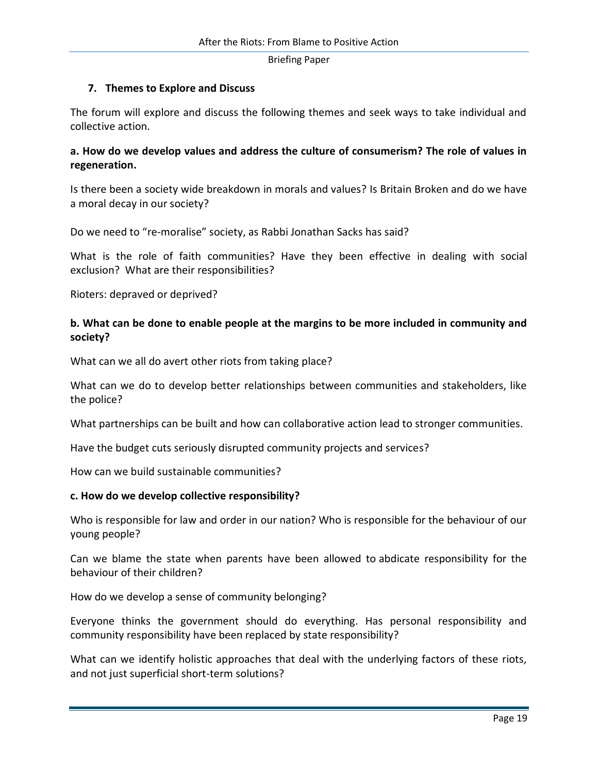## **7. Themes to Explore and Discuss**

The forum will explore and discuss the following themes and seek ways to take individual and collective action.

## **a. How do we develop values and address the culture of consumerism? The role of values in regeneration.**

Is there been a society wide breakdown in morals and values? Is Britain Broken and do we have a moral decay in our society?

Do we need to "re-moralise" society, as Rabbi Jonathan Sacks has said?

What is the role of faith communities? Have they been effective in dealing with social exclusion? What are their responsibilities?

Rioters: depraved or deprived?

# **b. What can be done to enable people at the margins to be more included in community and society?**

What can we all do avert other riots from taking place?

What can we do to develop better relationships between communities and stakeholders, like the police?

What partnerships can be built and how can collaborative action lead to stronger communities.

Have the budget cuts seriously disrupted community projects and services?

How can we build sustainable communities?

#### **c. How do we develop collective responsibility?**

Who is responsible for law and order in our nation? Who is responsible for the behaviour of our young people?

Can we blame the state when parents have been allowed to abdicate responsibility for the behaviour of their children?

How do we develop a sense of community belonging?

Everyone thinks the government should do everything. Has personal responsibility and community responsibility have been replaced by state responsibility?

What can we identify holistic approaches that deal with the underlying factors of these riots, and not just superficial short-term solutions?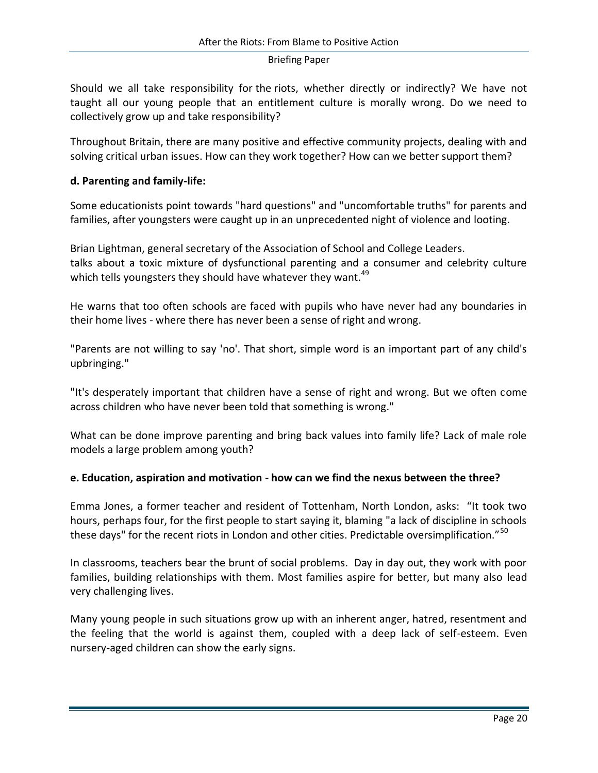Should we all take responsibility for the riots, whether directly or indirectly? We have not taught all our young people that an entitlement culture is morally wrong. Do we need to collectively grow up and take responsibility?

Throughout Britain, there are many positive and effective community projects, dealing with and solving critical urban issues. How can they work together? How can we better support them?

# **d. Parenting and family-life:**

Some educationists point towards "hard questions" and "uncomfortable truths" for parents and families, after youngsters were caught up in an unprecedented night of violence and looting.

Brian Lightman, general secretary of the Association of School and College Leaders. talks about a toxic mixture of dysfunctional parenting and a consumer and celebrity culture which tells youngsters they should have whatever they want.<sup>49</sup>

He warns that too often schools are faced with pupils who have never had any boundaries in their home lives - where there has never been a sense of right and wrong.

"Parents are not willing to say 'no'. That short, simple word is an important part of any child's upbringing."

"It's desperately important that children have a sense of right and wrong. But we often come across children who have never been told that something is wrong."

What can be done improve parenting and bring back values into family life? Lack of male role models a large problem among youth?

## **e. Education, aspiration and motivation - how can we find the nexus between the three?**

Emma Jones, a former teacher and resident of Tottenham, North London, asks: "It took two hours, perhaps four, for the first people to start saying it, blaming "a lack of discipline in schools these days" for the recent riots in London and other cities. Predictable oversimplification."<sup>50</sup>

In classrooms, teachers bear the brunt of social problems. Day in day out, they work with poor families, building relationships with them. Most families aspire for better, but many also lead very challenging lives.

Many young people in such situations grow up with an inherent anger, hatred, resentment and the feeling that the world is against them, coupled with a deep lack of self-esteem. Even nursery-aged children can show the early signs.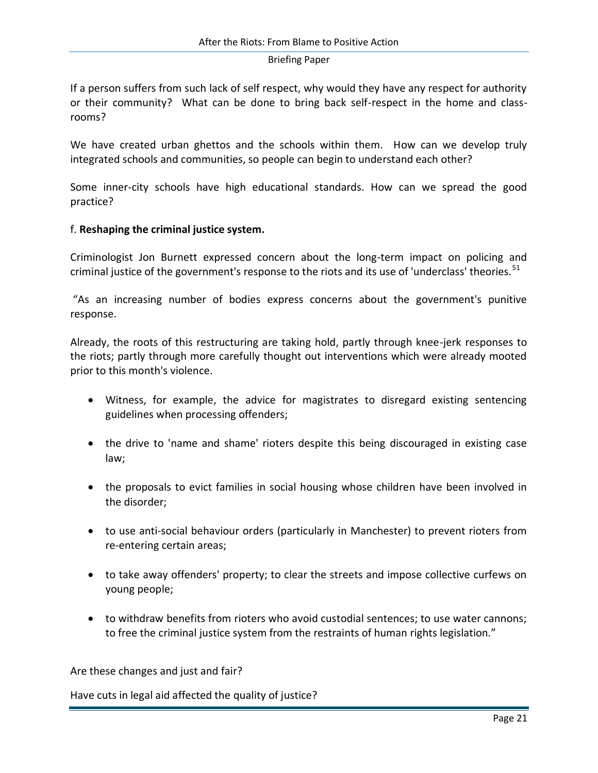If a person suffers from such lack of self respect, why would they have any respect for authority or their community? What can be done to bring back self-respect in the home and classrooms?

We have created urban ghettos and the schools within them. How can we develop truly integrated schools and communities, so people can begin to understand each other?

Some inner-city schools have high educational standards. How can we spread the good practice?

## f. **Reshaping the criminal justice system.**

Criminologist Jon Burnett expressed concern about the long-term impact on policing and criminal justice of the government's response to the riots and its use of 'underclass' theories.<sup>51</sup>

"As an increasing number of bodies express concerns about the government's punitive response.

Already, the roots of this restructuring are taking hold, partly through knee-jerk responses to the riots; partly through more carefully thought out interventions which were already mooted prior to this month's violence.

- Witness, for example, the advice for magistrates to disregard existing sentencing guidelines when processing offenders;
- the drive to 'name and shame' rioters despite this being discouraged in existing case law;
- the proposals to evict families in social housing whose children have been involved in the disorder;
- to use anti-social behaviour orders (particularly in Manchester) to prevent rioters from re-entering certain areas;
- to take away offenders' property; to clear the streets and impose collective curfews on young people;
- to withdraw benefits from rioters who avoid custodial sentences; to use water cannons; to free the criminal justice system from the restraints of human rights legislation."

Are these changes and just and fair?

Have cuts in legal aid affected the quality of justice?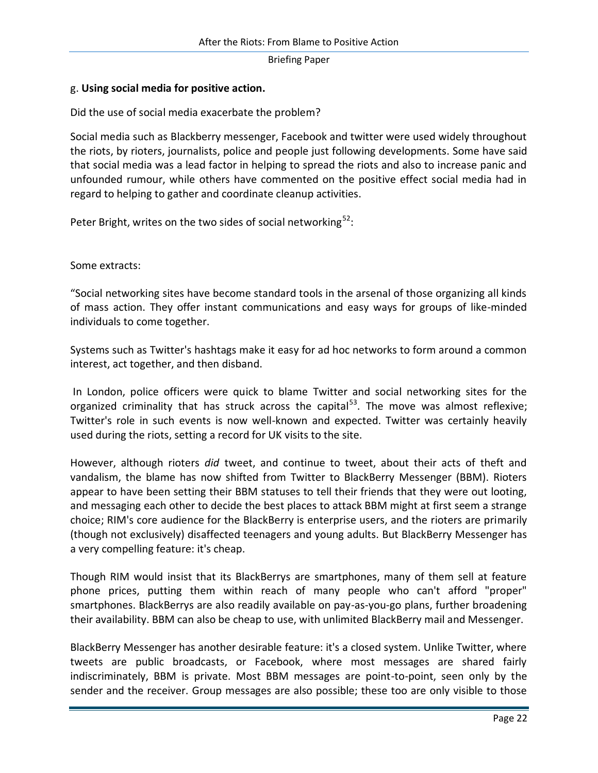## g. **Using social media for positive action.**

Did the use of social media exacerbate the problem?

Social media such as Blackberry messenger, Facebook and twitter were used widely throughout the riots, by rioters, journalists, police and people just following developments. Some have said that social media was a lead factor in helping to spread the riots and also to increase panic and unfounded rumour, while others have commented on the positive effect social media had in regard to helping to gather and coordinate cleanup activities.

Peter Bright, writes on the two sides of social networking $52$ :

Some extracts:

"Social networking sites have become standard tools in the arsenal of those organizing all kinds of mass action. They offer instant communications and easy ways for groups of like-minded individuals to come together.

Systems such as Twitter's hashtags make it easy for ad hoc networks to form around a common interest, act together, and then disband.

In London, police officers were quick to blame Twitter and social networking sites for the organized criminality that has struck across the capital<sup>53</sup>. The move was almost reflexive; Twitter's role in such events is now well-known and expected. Twitter was certainly heavily used during the riots, setting a record for UK visits to the site.

However, although rioters *did* tweet, and continue to tweet, about their acts of theft and vandalism, the blame has now shifted from Twitter to BlackBerry Messenger (BBM). Rioters appear to have been setting their BBM statuses to tell their friends that they were out looting, and messaging each other to decide the best places to attack BBM might at first seem a strange choice; RIM's core audience for the BlackBerry is enterprise users, and the rioters are primarily (though not exclusively) disaffected teenagers and young adults. But BlackBerry Messenger has a very compelling feature: it's cheap.

Though RIM would insist that its BlackBerrys are smartphones, many of them sell at feature phone prices, putting them within reach of many people who can't afford "proper" smartphones. BlackBerrys are also readily available on pay-as-you-go plans, further broadening their availability. BBM can also be cheap to use, with unlimited BlackBerry mail and Messenger.

BlackBerry Messenger has another desirable feature: it's a closed system. Unlike Twitter, where tweets are public broadcasts, or Facebook, where most messages are shared fairly indiscriminately, BBM is private. Most BBM messages are point-to-point, seen only by the sender and the receiver. Group messages are also possible; these too are only visible to those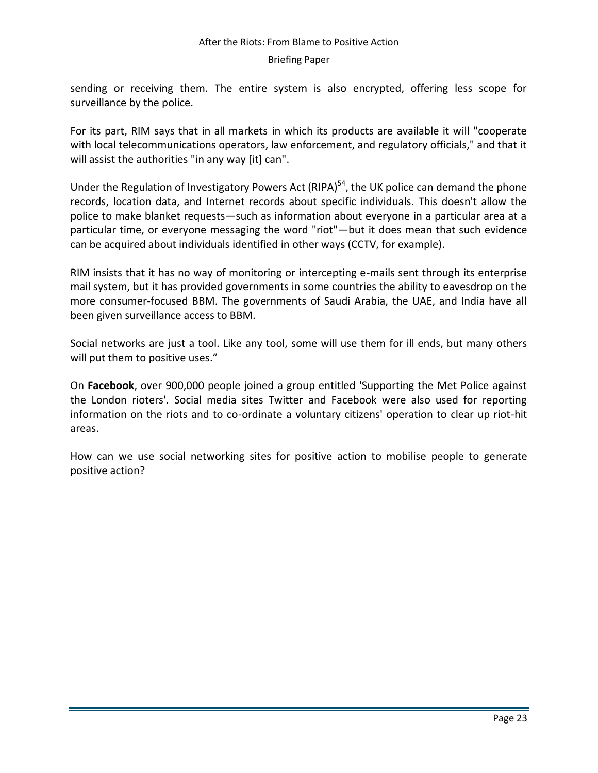sending or receiving them. The entire system is also encrypted, offering less scope for surveillance by the police.

For its part, RIM says that in all markets in which its products are available it will "cooperate with local telecommunications operators, law enforcement, and regulatory officials," and that it will assist the authorities "in any way [it] can".

Under the Regulation of Investigatory Powers Act (RIPA)<sup>54</sup>, the UK police can demand the phone records, location data, and Internet records about specific individuals. This doesn't allow the police to make blanket requests—such as information about everyone in a particular area at a particular time, or everyone messaging the word "riot"—but it does mean that such evidence can be acquired about individuals identified in other ways (CCTV, for example).

RIM insists that it has no way of monitoring or intercepting e-mails sent through its enterprise mail system, but it has provided governments in some countries the ability to eavesdrop on the more consumer-focused BBM. The governments of Saudi Arabia, the UAE, and India have all been given surveillance access to BBM.

Social networks are just a tool. Like any tool, some will use them for ill ends, but many others will put them to positive uses."

On **Facebook**, over 900,000 people joined a group entitled 'Supporting the Met Police against the London rioters'. [Social media](http://en.wikipedia.org/wiki/Social_media) sites Twitter and Facebook were also used for reporting information on the riots and to co-ordinate a voluntary citizens' operation to clear up riot-hit areas.

How can we use social networking sites for positive action to mobilise people to generate positive action?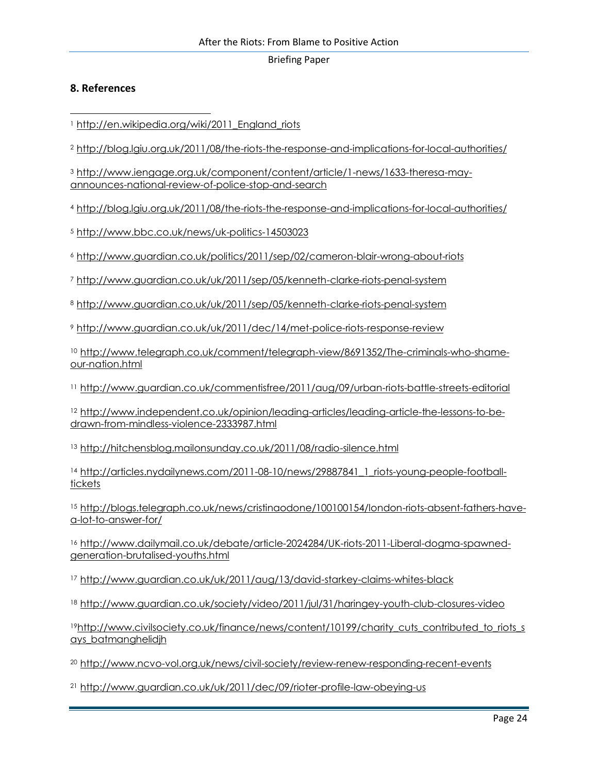## **8. References**

<sup>1</sup> http://en.wikipedia.org/wiki/2011 England riots

<sup>2</sup> <http://blog.lgiu.org.uk/2011/08/the-riots-the-response-and-implications-for-local-authorities/>

<sup>3</sup> [http://www.iengage.org.uk/component/content/article/1-news/1633-theresa-may](http://www.iengage.org.uk/component/content/article/1-news/1633-theresa-may-announces-national-review-of-police-stop-and-search)[announces-national-review-of-police-stop-and-search](http://www.iengage.org.uk/component/content/article/1-news/1633-theresa-may-announces-national-review-of-police-stop-and-search)

<sup>4</sup> <http://blog.lgiu.org.uk/2011/08/the-riots-the-response-and-implications-for-local-authorities/>

<sup>5</sup> <http://www.bbc.co.uk/news/uk-politics-14503023>

<sup>6</sup> <http://www.guardian.co.uk/politics/2011/sep/02/cameron-blair-wrong-about-riots>

<sup>7</sup> <http://www.guardian.co.uk/uk/2011/sep/05/kenneth-clarke-riots-penal-system>

<sup>8</sup> <http://www.guardian.co.uk/uk/2011/sep/05/kenneth-clarke-riots-penal-system>

<sup>9</sup> <http://www.guardian.co.uk/uk/2011/dec/14/met-police-riots-response-review>

<sup>10</sup> [http://www.telegraph.co.uk/comment/telegraph-view/8691352/The-criminals-who-shame](http://www.telegraph.co.uk/comment/telegraph-view/8691352/The-criminals-who-shame-our-nation.html)[our-nation.html](http://www.telegraph.co.uk/comment/telegraph-view/8691352/The-criminals-who-shame-our-nation.html)

<sup>11</sup> <http://www.guardian.co.uk/commentisfree/2011/aug/09/urban-riots-battle-streets-editorial>

<sup>12</sup> [http://www.independent.co.uk/opinion/leading-articles/leading-article-the-lessons-to-be](http://www.independent.co.uk/opinion/leading-articles/leading-article-the-lessons-to-be-drawn-from-mindless-violence-2333987.html)[drawn-from-mindless-violence-2333987.html](http://www.independent.co.uk/opinion/leading-articles/leading-article-the-lessons-to-be-drawn-from-mindless-violence-2333987.html)

13 <http://hitchensblog.mailonsunday.co.uk/2011/08/radio-silence.html>

<sup>14</sup> http://articles.nydailynews.com/2011-08-10/news/29887841 1 riots-young-people-football[tickets](http://articles.nydailynews.com/2011-08-10/news/29887841_1_riots-young-people-football-tickets)

<sup>15</sup> [http://blogs.telegraph.co.uk/news/cristinaodone/100100154/london-riots-absent-fathers-have](http://blogs.telegraph.co.uk/news/cristinaodone/100100154/london-riots-absent-fathers-have-a-lot-to-answer-for/)[a-lot-to-answer-for/](http://blogs.telegraph.co.uk/news/cristinaodone/100100154/london-riots-absent-fathers-have-a-lot-to-answer-for/)

<sup>16</sup> [http://www.dailymail.co.uk/debate/article-2024284/UK-riots-2011-Liberal-dogma-spawned](http://www.dailymail.co.uk/debate/article-2024284/UK-riots-2011-Liberal-dogma-spawned-generation-brutalised-youths.html)[generation-brutalised-youths.html](http://www.dailymail.co.uk/debate/article-2024284/UK-riots-2011-Liberal-dogma-spawned-generation-brutalised-youths.html)

<sup>17</sup> <http://www.guardian.co.uk/uk/2011/aug/13/david-starkey-claims-whites-black>

<sup>18</sup> <http://www.guardian.co.uk/society/video/2011/jul/31/haringey-youth-club-closures-video>

19[http://www.civilsociety.co.uk/finance/news/content/10199/charity\\_cuts\\_contributed\\_to\\_riots\\_s](http://www.civilsociety.co.uk/finance/news/content/10199/charity_cuts_contributed_to_riots_says_batmanghelidjh) [ays\\_batmanghelidjh](http://www.civilsociety.co.uk/finance/news/content/10199/charity_cuts_contributed_to_riots_says_batmanghelidjh)

<sup>20</sup> <http://www.ncvo-vol.org.uk/news/civil-society/review-renew-responding-recent-events>

<sup>21</sup> <http://www.guardian.co.uk/uk/2011/dec/09/rioter-profile-law-obeying-us>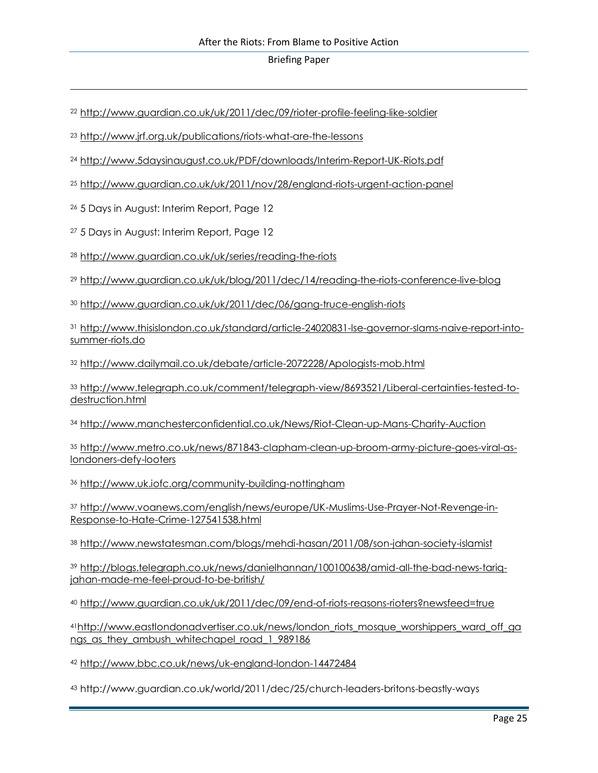<http://www.guardian.co.uk/uk/2011/dec/09/rioter-profile-feeling-like-soldier>

<http://www.jrf.org.uk/publications/riots-what-are-the-lessons>

<http://www.5daysinaugust.co.uk/PDF/downloads/Interim-Report-UK-Riots.pdf>

<http://www.guardian.co.uk/uk/2011/nov/28/england-riots-urgent-action-panel>

5 Days in August: Interim Report, Page 12

5 Days in August: Interim Report, Page 12

<http://www.guardian.co.uk/uk/series/reading-the-riots>

<http://www.guardian.co.uk/uk/blog/2011/dec/14/reading-the-riots-conference-live-blog>

<http://www.guardian.co.uk/uk/2011/dec/06/gang-truce-english-riots>

 [http://www.thisislondon.co.uk/standard/article-24020831-lse-governor-slams-naive-report-into](http://www.thisislondon.co.uk/standard/article-24020831-lse-governor-slams-naive-report-into-summer-riots.do)[summer-riots.do](http://www.thisislondon.co.uk/standard/article-24020831-lse-governor-slams-naive-report-into-summer-riots.do)

<http://www.dailymail.co.uk/debate/article-2072228/Apologists-mob.html>

 [http://www.telegraph.co.uk/comment/telegraph-view/8693521/Liberal-certainties-tested-to](http://www.telegraph.co.uk/comment/telegraph-view/8693521/Liberal-certainties-tested-to-destruction.html)[destruction.html](http://www.telegraph.co.uk/comment/telegraph-view/8693521/Liberal-certainties-tested-to-destruction.html)

<http://www.manchesterconfidential.co.uk/News/Riot-Clean-up-Mans-Charity-Auction>

 [http://www.metro.co.uk/news/871843-clapham-clean-up-broom-army-picture-goes-viral-as](http://www.metro.co.uk/news/871843-clapham-clean-up-broom-army-picture-goes-viral-as-londoners-defy-looters)[londoners-defy-looters](http://www.metro.co.uk/news/871843-clapham-clean-up-broom-army-picture-goes-viral-as-londoners-defy-looters)

<http://www.uk.iofc.org/community-building-nottingham>

 [http://www.voanews.com/english/news/europe/UK-Muslims-Use-Prayer-Not-Revenge-in-](http://www.voanews.com/english/news/europe/UK-Muslims-Use-Prayer-Not-Revenge-in-Response-to-Hate-Crime-127541538.html)[Response-to-Hate-Crime-127541538.html](http://www.voanews.com/english/news/europe/UK-Muslims-Use-Prayer-Not-Revenge-in-Response-to-Hate-Crime-127541538.html)

<http://www.newstatesman.com/blogs/mehdi-hasan/2011/08/son-jahan-society-islamist>

 [http://blogs.telegraph.co.uk/news/danielhannan/100100638/amid-all-the-bad-news-tariq](http://blogs.telegraph.co.uk/news/danielhannan/100100638/amid-all-the-bad-news-tariq-jahan-made-me-feel-proud-to-be-british/)[jahan-made-me-feel-proud-to-be-british/](http://blogs.telegraph.co.uk/news/danielhannan/100100638/amid-all-the-bad-news-tariq-jahan-made-me-feel-proud-to-be-british/)

<http://www.guardian.co.uk/uk/2011/dec/09/end-of-riots-reasons-rioters?newsfeed=true>

[http://www.eastlondonadvertiser.co.uk/news/london\\_riots\\_mosque\\_worshippers\\_ward\\_off\\_ga](http://www.eastlondonadvertiser.co.uk/news/london_riots_mosque_worshippers_ward_off_gangs_as_they_ambush_whitechapel_road_1_989186) ngs as they ambush whitechapel road 1 989186

<http://www.bbc.co.uk/news/uk-england-london-14472484>

http://www.guardian.co.uk/world/2011/dec/25/church-leaders-britons-beastly-ways